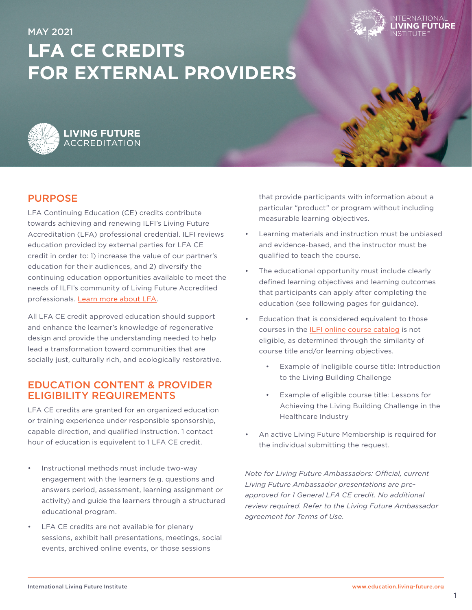

# MAY 2021 **LFA CE CREDITS FOR EXTERNAL PROVIDERS**



# PURPOSE

LFA Continuing Education (CE) credits contribute towards achieving and renewing ILFI's Living Future Accreditation (LFA) professional credential. ILFI reviews education provided by external parties for LFA CE credit in order to: 1) increase the value of our partner's education for their audiences, and 2) diversify the continuing education opportunities available to meet the needs of ILFI's community of Living Future Accredited professionals. [Learn more about LFA](https://living-future.org/lfa/).

All LFA CE credit approved education should support and enhance the learner's knowledge of regenerative design and provide the understanding needed to help lead a transformation toward communities that are socially just, culturally rich, and ecologically restorative.

## EDUCATION CONTENT & PROVIDER ELIGIBILITY REQUIREMENTS

LFA CE credits are granted for an organized education or training experience under responsible sponsorship, capable direction, and qualified instruction. 1 contact hour of education is equivalent to 1 LFA CE credit.

- Instructional methods must include two-way engagement with the learners (e.g. questions and answers period, assessment, learning assignment or activity) and guide the learners through a structured educational program.
- LFA CE credits are not available for plenary sessions, exhibit hall presentations, meetings, social events, archived online events, or those sessions

that provide participants with information about a particular "product" or program without including measurable learning objectives.

- Learning materials and instruction must be unbiased and evidence-based, and the instructor must be qualified to teach the course.
- The educational opportunity must include clearly defined learning objectives and learning outcomes that participants can apply after completing the education (see following pages for guidance).
- Education that is considered equivalent to those courses in the [ILFI online course catalog](https://education.living-future.org/#/public-dashboard) is not eligible, as determined through the similarity of course title and/or learning objectives.
	- Example of ineligible course title: Introduction to the Living Building Challenge
	- Example of eligible course title: Lessons for Achieving the Living Building Challenge in the Healthcare Industry
- An active Living Future Membership is required for the individual submitting the request.

*Note for Living Future Ambassadors: Official, current Living Future Ambassador presentations are preapproved for 1 General LFA CE credit. No additional review required. Refer to the Living Future Ambassador agreement for Terms of Use.*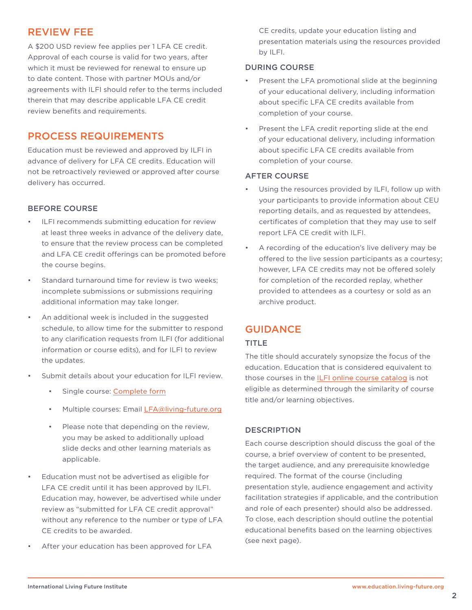# REVIEW FEE

A \$200 USD review fee applies per 1 LFA CE credit. Approval of each course is valid for two years, after which it must be reviewed for renewal to ensure up to date content. Those with partner MOUs and/or agreements with ILFI should refer to the terms included therein that may describe applicable LFA CE credit review benefits and requirements.

# PROCESS REQUIREMENTS

Education must be reviewed and approved by ILFI in advance of delivery for LFA CE credits. Education will not be retroactively reviewed or approved after course delivery has occurred.

## BEFORE COURSE

- ILFI recommends submitting education for review at least three weeks in advance of the delivery date, to ensure that the review process can be completed and LFA CE credit offerings can be promoted before the course begins.
- Standard turnaround time for review is two weeks: incomplete submissions or submissions requiring additional information may take longer.
- An additional week is included in the suggested schedule, to allow time for the submitter to respond to any clarification requests from ILFI (for additional information or course edits), and for ILFI to review the updates.
- Submit details about your education for ILFI review.
	- Single course: [Complete form](https://www.tfaforms.com/4736360)
	- Multiple courses: Email [LFA@living-future.org](mailto:lfa@living-future.org)
	- Please note that depending on the review, you may be asked to additionally upload slide decks and other learning materials as applicable.
- Education must not be advertised as eligible for LFA CE credit until it has been approved by ILFI. Education may, however, be advertised while under review as "submitted for LFA CE credit approval" without any reference to the number or type of LFA CE credits to be awarded.
- After your education has been approved for LFA

CE credits, update your education listing and presentation materials using the resources provided by ILFI.

## DURING COURSE

- Present the LFA promotional slide at the beginning of your educational delivery, including information about specific LFA CE credits available from completion of your course.
- Present the LFA credit reporting slide at the end of your educational delivery, including information about specific LFA CE credits available from completion of your course.

#### AFTER COURSE

- Using the resources provided by ILFI, follow up with your participants to provide information about CEU reporting details, and as requested by attendees, certificates of completion that they may use to self report LFA CE credit with ILFI.
- A recording of the education's live delivery may be offered to the live session participants as a courtesy; however, LFA CE credits may not be offered solely for completion of the recorded replay, whether provided to attendees as a courtesy or sold as an archive product.

# GUIDANCE

## TITLE

The title should accurately synopsize the focus of the education. Education that is considered equivalent to those courses in the [ILFI online course catalog](https://education.living-future.org/#/public-dashboard) is not eligible as determined through the similarity of course title and/or learning objectives.

## **DESCRIPTION**

Each course description should discuss the goal of the course, a brief overview of content to be presented, the target audience, and any prerequisite knowledge required. The format of the course (including presentation style, audience engagement and activity facilitation strategies if applicable, and the contribution and role of each presenter) should also be addressed. To close, each description should outline the potential educational benefits based on the learning objectives (see next page).